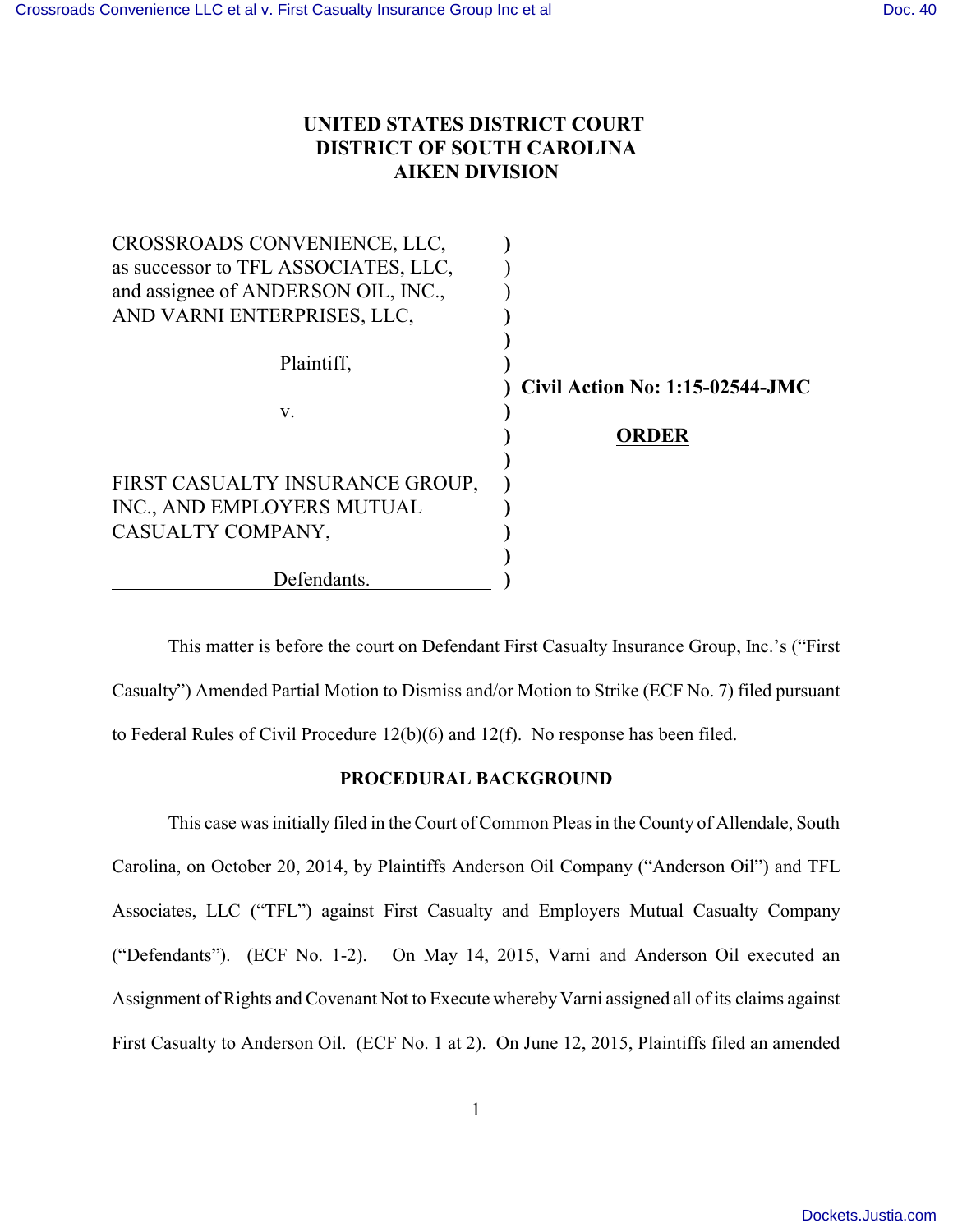## **UNITED STATES DISTRICT COURT DISTRICT OF SOUTH CAROLINA AIKEN DIVISION**

| CROSSROADS CONVENIENCE, LLC,         |                                        |
|--------------------------------------|----------------------------------------|
| as successor to TFL ASSOCIATES, LLC, |                                        |
| and assignee of ANDERSON OIL, INC.,  |                                        |
| AND VARNI ENTERPRISES, LLC,          |                                        |
|                                      |                                        |
| Plaintiff,                           |                                        |
|                                      | <b>Civil Action No: 1:15-02544-JMC</b> |
| V.                                   |                                        |
|                                      | <b>ORDER</b>                           |
|                                      |                                        |
| FIRST CASUALTY INSURANCE GROUP,      |                                        |
| INC., AND EMPLOYERS MUTUAL           |                                        |
| CASUALTY COMPANY,                    |                                        |
|                                      |                                        |
| Defendants.                          |                                        |

This matter is before the court on Defendant First Casualty Insurance Group, Inc.'s ("First Casualty") Amended Partial Motion to Dismiss and/or Motion to Strike (ECF No. 7) filed pursuant to Federal Rules of Civil Procedure 12(b)(6) and 12(f). No response has been filed.

## **PROCEDURAL BACKGROUND**

This case was initially filed in the Court of Common Pleas in the County of Allendale, South Carolina, on October 20, 2014, by Plaintiffs Anderson Oil Company ("Anderson Oil") and TFL Associates, LLC ("TFL") against First Casualty and Employers Mutual Casualty Company ("Defendants"). (ECF No. 1-2). On May 14, 2015, Varni and Anderson Oil executed an Assignment of Rights and Covenant Not to Execute whereby Varni assigned all of its claims against First Casualty to Anderson Oil. (ECF No. 1 at 2). On June 12, 2015, Plaintiffs filed an amended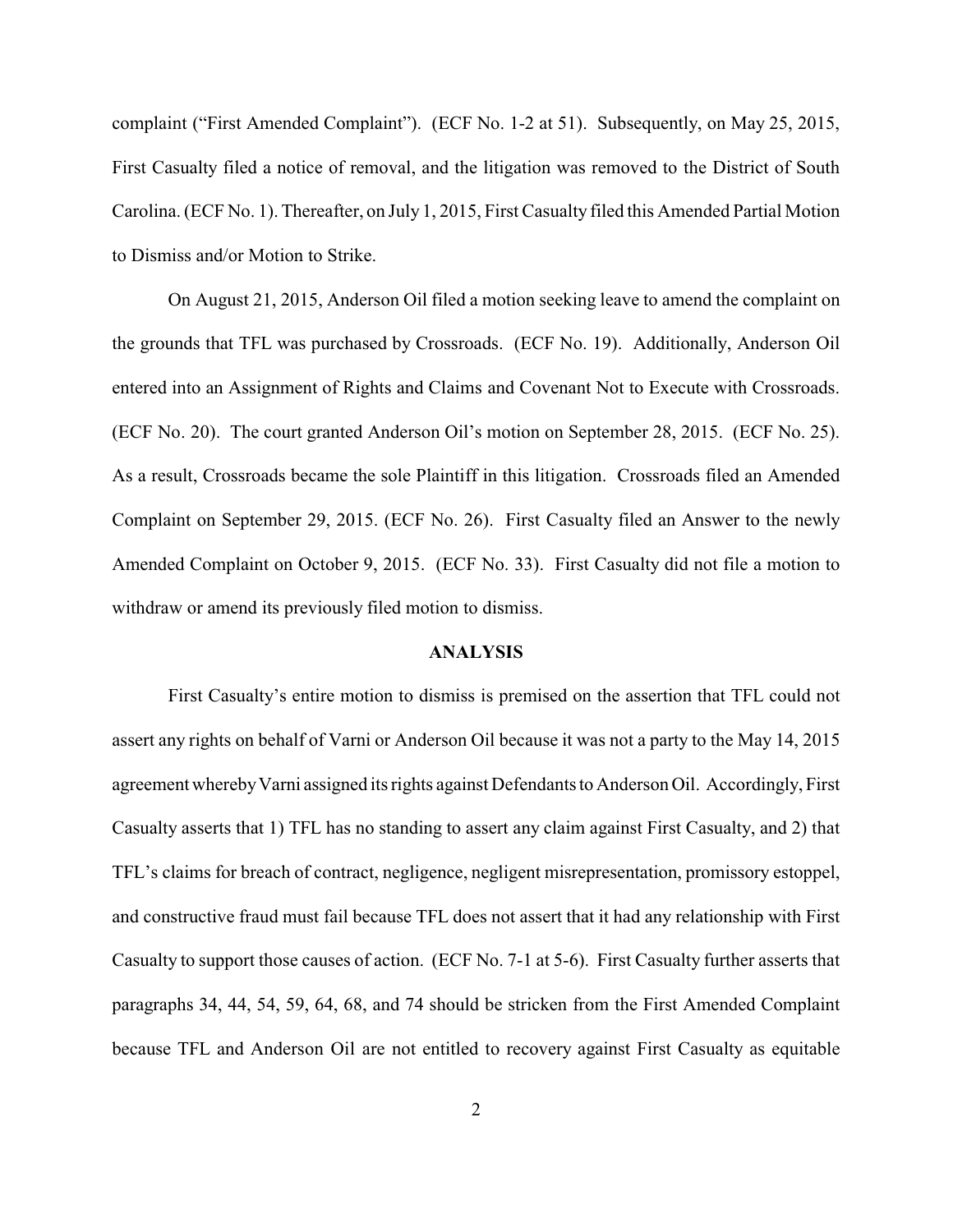complaint ("First Amended Complaint"). (ECF No. 1-2 at 51). Subsequently, on May 25, 2015, First Casualty filed a notice of removal, and the litigation was removed to the District of South Carolina. (ECF No. 1). Thereafter, on July 1, 2015, First Casualty filed this Amended Partial Motion to Dismiss and/or Motion to Strike.

On August 21, 2015, Anderson Oil filed a motion seeking leave to amend the complaint on the grounds that TFL was purchased by Crossroads. (ECF No. 19). Additionally, Anderson Oil entered into an Assignment of Rights and Claims and Covenant Not to Execute with Crossroads. (ECF No. 20). The court granted Anderson Oil's motion on September 28, 2015. (ECF No. 25). As a result, Crossroads became the sole Plaintiff in this litigation. Crossroads filed an Amended Complaint on September 29, 2015. (ECF No. 26). First Casualty filed an Answer to the newly Amended Complaint on October 9, 2015. (ECF No. 33). First Casualty did not file a motion to withdraw or amend its previously filed motion to dismiss.

## **ANALYSIS**

First Casualty's entire motion to dismiss is premised on the assertion that TFL could not assert any rights on behalf of Varni or Anderson Oil because it was not a party to the May 14, 2015 agreement whereby Varni assigned its rights against Defendants to Anderson Oil. Accordingly, First Casualty asserts that 1) TFL has no standing to assert any claim against First Casualty, and 2) that TFL's claims for breach of contract, negligence, negligent misrepresentation, promissory estoppel, and constructive fraud must fail because TFL does not assert that it had any relationship with First Casualty to support those causes of action. (ECF No. 7-1 at 5-6). First Casualty further asserts that paragraphs 34, 44, 54, 59, 64, 68, and 74 should be stricken from the First Amended Complaint because TFL and Anderson Oil are not entitled to recovery against First Casualty as equitable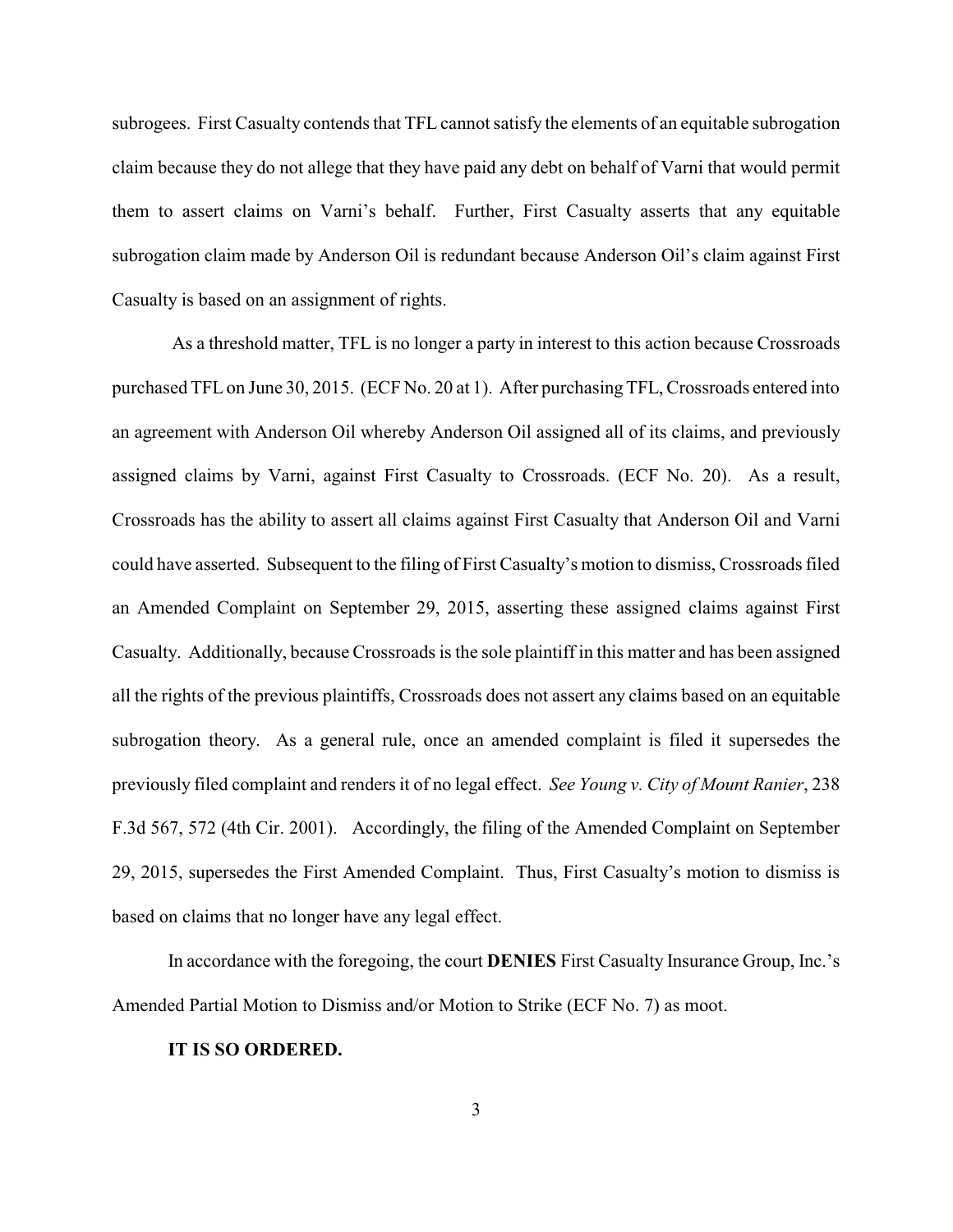subrogees. First Casualty contends that TFL cannot satisfy the elements of an equitable subrogation claim because they do not allege that they have paid any debt on behalf of Varni that would permit them to assert claims on Varni's behalf. Further, First Casualty asserts that any equitable subrogation claim made by Anderson Oil is redundant because Anderson Oil's claim against First Casualty is based on an assignment of rights.

 As a threshold matter, TFL is no longer a party in interest to this action because Crossroads purchased TFL on June 30, 2015. (ECF No. 20 at 1). After purchasing TFL, Crossroads entered into an agreement with Anderson Oil whereby Anderson Oil assigned all of its claims, and previously assigned claims by Varni, against First Casualty to Crossroads. (ECF No. 20). As a result, Crossroads has the ability to assert all claims against First Casualty that Anderson Oil and Varni could have asserted. Subsequent to the filing of First Casualty's motion to dismiss, Crossroads filed an Amended Complaint on September 29, 2015, asserting these assigned claims against First Casualty. Additionally, because Crossroads is the sole plaintiff in this matter and has been assigned all the rights of the previous plaintiffs, Crossroads does not assert any claims based on an equitable subrogation theory. As a general rule, once an amended complaint is filed it supersedes the previously filed complaint and renders it of no legal effect. *See Young v. City of Mount Ranier*, 238 F.3d 567, 572 (4th Cir. 2001). Accordingly, the filing of the Amended Complaint on September 29, 2015, supersedes the First Amended Complaint. Thus, First Casualty's motion to dismiss is based on claims that no longer have any legal effect.

In accordance with the foregoing, the court **DENIES** First Casualty Insurance Group, Inc.'s Amended Partial Motion to Dismiss and/or Motion to Strike (ECF No. 7) as moot.

## **IT IS SO ORDERED.**